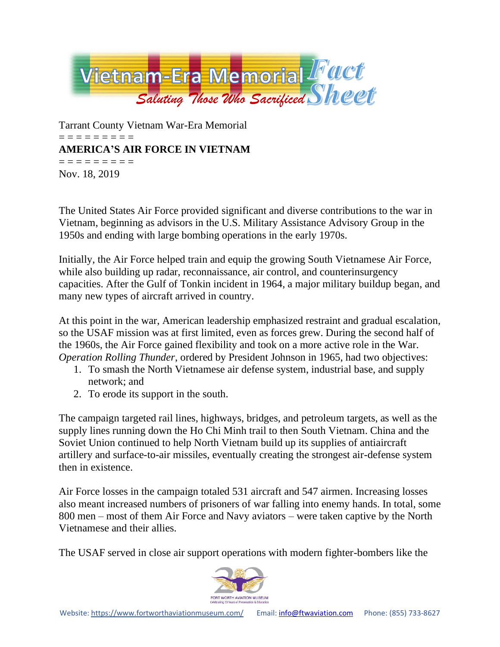

Tarrant County Vietnam War-Era Memorial = = = = = = = = = **AMERICA'S AIR FORCE IN VIETNAM** = = = = = = = = = Nov. 18, 2019

The United States Air Force provided significant and diverse contributions to the war in Vietnam, beginning as advisors in the U.S. Military Assistance Advisory Group in the 1950s and ending with large bombing operations in the early 1970s.

Initially, the Air Force helped train and equip the growing South Vietnamese Air Force, while also building up radar, reconnaissance, air control, and counterinsurgency capacities. After the Gulf of Tonkin incident in 1964, a major military buildup began, and many new types of aircraft arrived in country.

At this point in the war, American leadership emphasized restraint and gradual escalation, so the USAF mission was at first limited, even as forces grew. During the second half of the 1960s, the Air Force gained flexibility and took on a more active role in the War. *Operation Rolling Thunder*, ordered by President Johnson in 1965, had two objectives:

- 1. To smash the North Vietnamese air defense system, industrial base, and supply network; and
- 2. To erode its support in the south.

The campaign targeted rail lines, highways, bridges, and petroleum targets, as well as the supply lines running down the Ho Chi Minh trail to then South Vietnam. China and the Soviet Union continued to help North Vietnam build up its supplies of antiaircraft artillery and surface-to-air missiles, eventually creating the strongest air-defense system then in existence.

Air Force losses in the campaign totaled 531 aircraft and 547 airmen. Increasing losses also meant increased numbers of prisoners of war falling into enemy hands. In total, some 800 men – most of them Air Force and Navy aviators – were taken captive by the North Vietnamese and their allies.

The USAF served in close air support operations with modern fighter-bombers like the

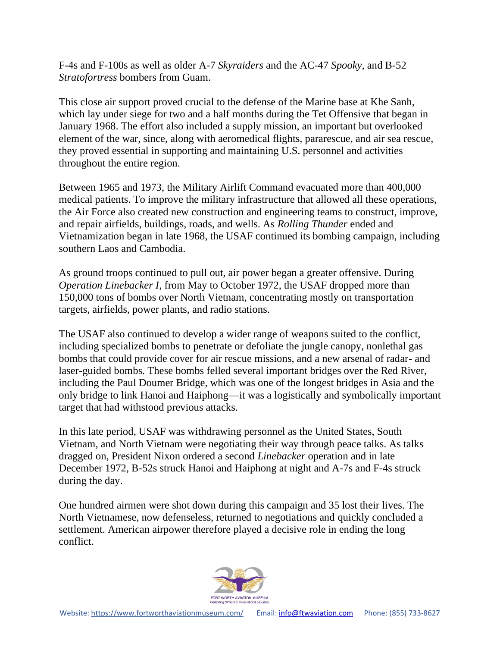F-4s and F-100s as well as older A-7 *Skyraiders* and the AC-47 *Spooky*, and B-52 *Stratofortress* bombers from Guam.

This close air support proved crucial to the defense of the Marine base at Khe Sanh, which lay under siege for two and a half months during the Tet Offensive that began in January 1968. The effort also included a supply mission, an important but overlooked element of the war, since, along with aeromedical flights, pararescue, and air sea rescue, they proved essential in supporting and maintaining U.S. personnel and activities throughout the entire region.

Between 1965 and 1973, the Military Airlift Command evacuated more than 400,000 medical patients. To improve the military infrastructure that allowed all these operations, the Air Force also created new construction and engineering teams to construct, improve, and repair airfields, buildings, roads, and wells. As *Rolling Thunder* ended and Vietnamization began in late 1968, the USAF continued its bombing campaign, including southern Laos and Cambodia.

As ground troops continued to pull out, air power began a greater offensive. During *Operation Linebacker I*, from May to October 1972, the USAF dropped more than 150,000 tons of bombs over North Vietnam, concentrating mostly on transportation targets, airfields, power plants, and radio stations.

The USAF also continued to develop a wider range of weapons suited to the conflict, including specialized bombs to penetrate or defoliate the jungle canopy, nonlethal gas bombs that could provide cover for air rescue missions, and a new arsenal of radar- and laser-guided bombs. These bombs felled several important bridges over the Red River, including the Paul Doumer Bridge, which was one of the longest bridges in Asia and the only bridge to link Hanoi and Haiphong—it was a logistically and symbolically important target that had withstood previous attacks.

In this late period, USAF was withdrawing personnel as the United States, South Vietnam, and North Vietnam were negotiating their way through peace talks. As talks dragged on, President Nixon ordered a second *Linebacker* operation and in late December 1972, B-52s struck Hanoi and Haiphong at night and A-7s and F-4s struck during the day.

One hundred airmen were shot down during this campaign and 35 lost their lives. The North Vietnamese, now defenseless, returned to negotiations and quickly concluded a settlement. American airpower therefore played a decisive role in ending the long conflict.